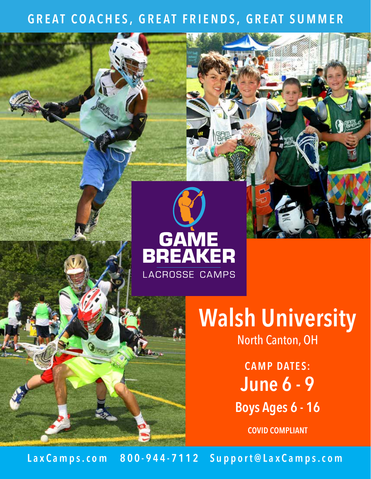## **GREAT COACHES, GREAT FRIENDS, GREAT SUMMER**



# **Walsh University** North Canton, OH

**CAMP DATES: June 6 - 9 Boys Ages 6 - 16**

**COVID COMPLIANT**

Lax C a m p s . c o m 800 - 944 - 7112 Support@ Lax C a m p s . c o m